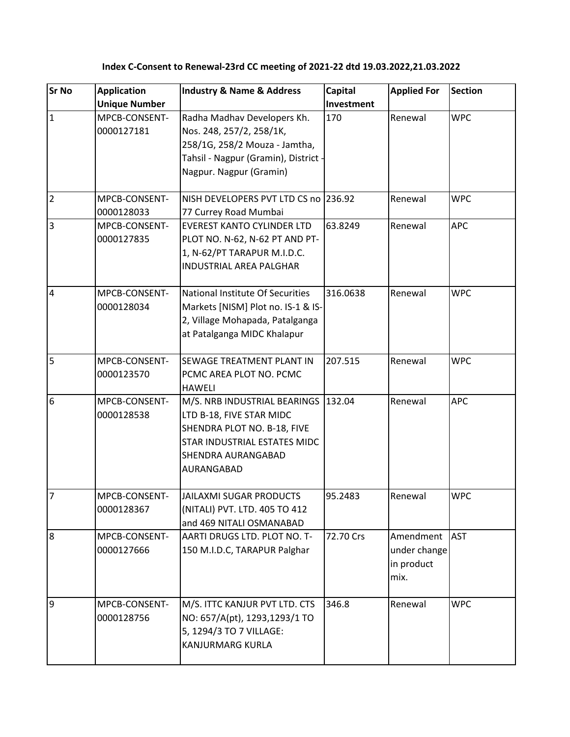| <b>Sr No</b>    | <b>Application</b><br><b>Unique Number</b> | <b>Industry &amp; Name &amp; Address</b>                                                                                                                    | Capital<br>Investment | <b>Applied For</b>                              | <b>Section</b> |
|-----------------|--------------------------------------------|-------------------------------------------------------------------------------------------------------------------------------------------------------------|-----------------------|-------------------------------------------------|----------------|
| $\overline{1}$  | MPCB-CONSENT-<br>0000127181                | Radha Madhav Developers Kh.<br>Nos. 248, 257/2, 258/1K,<br>258/1G, 258/2 Mouza - Jamtha,<br>Tahsil - Nagpur (Gramin), District ·<br>Nagpur. Nagpur (Gramin) | 170                   | Renewal                                         | <b>WPC</b>     |
| $\overline{2}$  | MPCB-CONSENT-<br>0000128033                | NISH DEVELOPERS PVT LTD CS no 236.92<br>77 Currey Road Mumbai                                                                                               |                       | Renewal                                         | <b>WPC</b>     |
| $\overline{3}$  | MPCB-CONSENT-<br>0000127835                | <b>EVEREST KANTO CYLINDER LTD</b><br>PLOT NO. N-62, N-62 PT AND PT-<br>1, N-62/PT TARAPUR M.I.D.C.<br><b>INDUSTRIAL AREA PALGHAR</b>                        | 63.8249               | Renewal                                         | <b>APC</b>     |
| $\overline{4}$  | MPCB-CONSENT-<br>0000128034                | National Institute Of Securities<br>Markets [NISM] Plot no. IS-1 & IS-<br>2, Village Mohapada, Patalganga<br>at Patalganga MIDC Khalapur                    | 316.0638              | Renewal                                         | <b>WPC</b>     |
| $\overline{5}$  | MPCB-CONSENT-<br>0000123570                | SEWAGE TREATMENT PLANT IN<br>PCMC AREA PLOT NO. PCMC<br><b>HAWELI</b>                                                                                       | 207.515               | Renewal                                         | <b>WPC</b>     |
| $6\overline{6}$ | MPCB-CONSENT-<br>0000128538                | M/S. NRB INDUSTRIAL BEARINGS<br>LTD B-18, FIVE STAR MIDC<br>SHENDRA PLOT NO. B-18, FIVE<br>STAR INDUSTRIAL ESTATES MIDC<br>SHENDRA AURANGABAD<br>AURANGABAD | 132.04                | Renewal                                         | <b>APC</b>     |
| $\overline{7}$  | MPCB-CONSENT-<br>0000128367                | JAILAXMI SUGAR PRODUCTS<br>(NITALI) PVT. LTD. 405 TO 412<br>and 469 NITALI OSMANABAD                                                                        | 95.2483               | Renewal                                         | <b>WPC</b>     |
| $\overline{8}$  | MPCB-CONSENT-<br>0000127666                | AARTI DRUGS LTD. PLOT NO. T-<br>150 M.I.D.C, TARAPUR Palghar                                                                                                | 72.70 Crs             | Amendment<br>under change<br>in product<br>mix. | <b>AST</b>     |
| 9               | MPCB-CONSENT-<br>0000128756                | M/S. ITTC KANJUR PVT LTD. CTS<br>NO: 657/A(pt), 1293,1293/1 TO<br>5, 1294/3 TO 7 VILLAGE:<br><b>KANJURMARG KURLA</b>                                        | 346.8                 | Renewal                                         | <b>WPC</b>     |

## **Index C-Consent to Renewal-23rd CC meeting of 2021-22 dtd 19.03.2022,21.03.2022**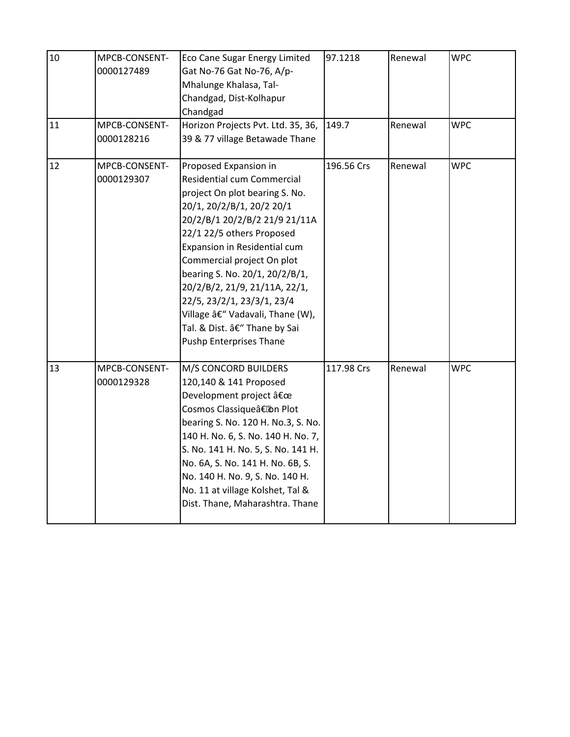| 10 | MPCB-CONSENT-<br>0000127489 | Eco Cane Sugar Energy Limited<br>Gat No-76 Gat No-76, A/p-<br>Mhalunge Khalasa, Tal-<br>Chandgad, Dist-Kolhapur<br>Chandgad                                                                                                                                                                                                                                                                                                                          | 97.1218    | Renewal | <b>WPC</b> |
|----|-----------------------------|------------------------------------------------------------------------------------------------------------------------------------------------------------------------------------------------------------------------------------------------------------------------------------------------------------------------------------------------------------------------------------------------------------------------------------------------------|------------|---------|------------|
| 11 | MPCB-CONSENT-<br>0000128216 | Horizon Projects Pvt. Ltd. 35, 36,<br>39 & 77 village Betawade Thane                                                                                                                                                                                                                                                                                                                                                                                 | 149.7      | Renewal | <b>WPC</b> |
| 12 | MPCB-CONSENT-<br>0000129307 | Proposed Expansion in<br>Residential cum Commercial<br>project On plot bearing S. No.<br>20/1, 20/2/B/1, 20/2 20/1<br>20/2/B/1 20/2/B/2 21/9 21/11A<br>22/1 22/5 others Proposed<br>Expansion in Residential cum<br>Commercial project On plot<br>bearing S. No. 20/1, 20/2/B/1,<br>20/2/B/2, 21/9, 21/11A, 22/1,<br>22/5, 23/2/1, 23/3/1, 23/4<br>Village – Vadavali, Thane (W),<br>Tal. & Dist. â€" Thane by Sai<br><b>Pushp Enterprises Thane</b> | 196.56 Crs | Renewal | <b>WPC</b> |
| 13 | MPCB-CONSENT-<br>0000129328 | M/S CONCORD BUILDERS<br>120,140 & 141 Proposed<br>Development project "<br>Cosmos Classique†on Plot<br>bearing S. No. 120 H. No.3, S. No.<br>140 H. No. 6, S. No. 140 H. No. 7,<br>S. No. 141 H. No. 5, S. No. 141 H.<br>No. 6A, S. No. 141 H. No. 6B, S.<br>No. 140 H. No. 9, S. No. 140 H.<br>No. 11 at village Kolshet, Tal &<br>Dist. Thane, Maharashtra. Thane                                                                                  | 117.98 Crs | Renewal | <b>WPC</b> |